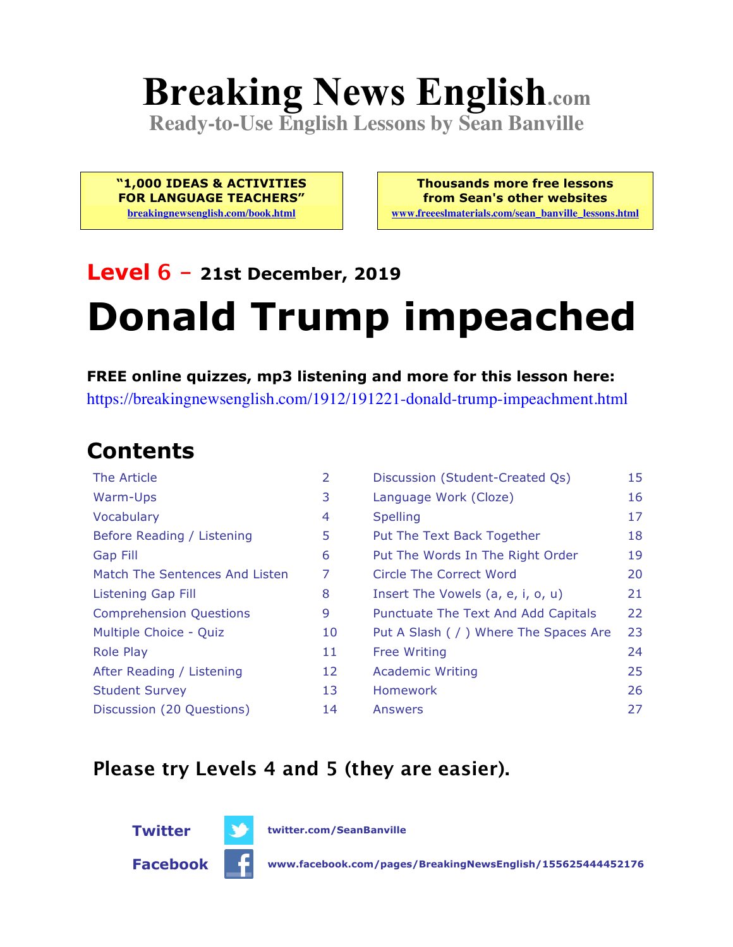# **Breaking News English.com**

**Ready-to-Use English Lessons by Sean Banville**

**"1,000 IDEAS & ACTIVITIES FOR LANGUAGE TEACHERS" breakingnewsenglish.com/book.html**

**Thousands more free lessons from Sean's other websites www.freeeslmaterials.com/sean\_banville\_lessons.html**

## **Level 6 - 21st December, 2019 Donald Trump impeached**

**FREE online quizzes, mp3 listening and more for this lesson here:** https://breakingnewsenglish.com/1912/191221-donald-trump-impeachment.html

### **Contents**

| The Article                    | 2  | Discussion (Student-Created Qs)        | 15 |
|--------------------------------|----|----------------------------------------|----|
| Warm-Ups                       | 3  | Language Work (Cloze)                  | 16 |
| Vocabulary                     | 4  | <b>Spelling</b>                        | 17 |
| Before Reading / Listening     | 5  | Put The Text Back Together             | 18 |
| <b>Gap Fill</b>                | 6  | Put The Words In The Right Order       | 19 |
| Match The Sentences And Listen | 7  | Circle The Correct Word                | 20 |
| <b>Listening Gap Fill</b>      | 8  | Insert The Vowels (a, e, i, o, u)      | 21 |
| <b>Comprehension Questions</b> | 9  | Punctuate The Text And Add Capitals    | 22 |
| Multiple Choice - Quiz         | 10 | Put A Slash ( / ) Where The Spaces Are | 23 |
| <b>Role Play</b>               | 11 | <b>Free Writing</b>                    | 24 |
| After Reading / Listening      | 12 | <b>Academic Writing</b>                | 25 |
| <b>Student Survey</b>          | 13 | Homework                               | 26 |
| Discussion (20 Questions)      | 14 | Answers                                | 27 |
|                                |    |                                        |    |

#### **Please try Levels 4 and 5 (they are easier).**



**Twitter twitter.com/SeanBanville**

**Facebook www.facebook.com/pages/BreakingNewsEnglish/155625444452176**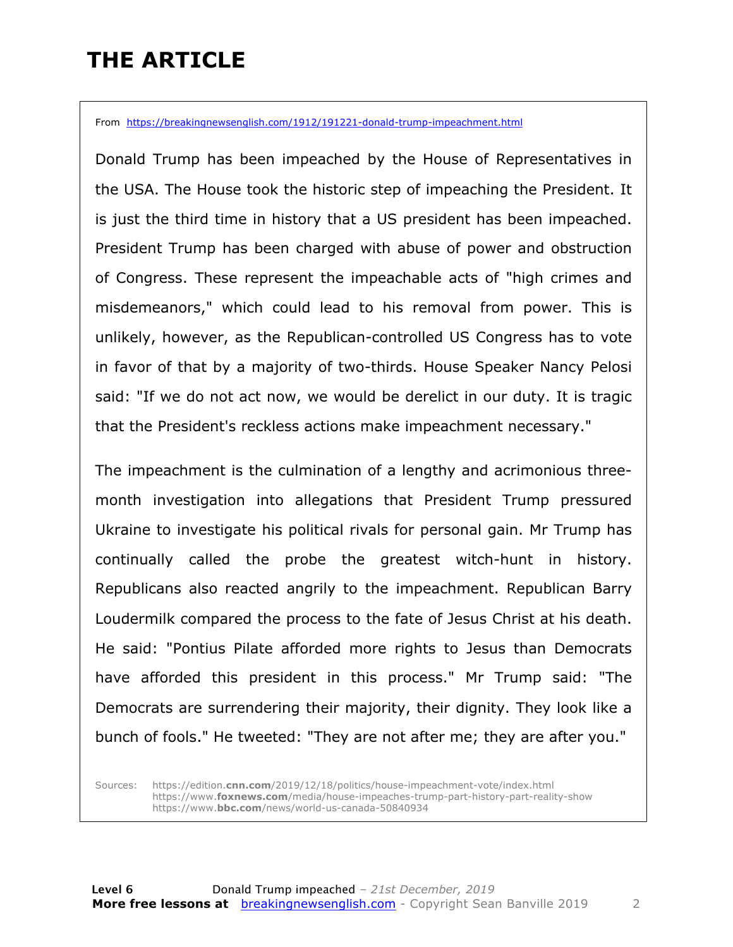### **THE ARTICLE**

From https://breakingnewsenglish.com/1912/191221-donald-trump-impeachment.html

Donald Trump has been impeached by the House of Representatives in the USA. The House took the historic step of impeaching the President. It is just the third time in history that a US president has been impeached. President Trump has been charged with abuse of power and obstruction of Congress. These represent the impeachable acts of "high crimes and misdemeanors," which could lead to his removal from power. This is unlikely, however, as the Republican-controlled US Congress has to vote in favor of that by a majority of two-thirds. House Speaker Nancy Pelosi said: "If we do not act now, we would be derelict in our duty. It is tragic that the President's reckless actions make impeachment necessary."

The impeachment is the culmination of a lengthy and acrimonious threemonth investigation into allegations that President Trump pressured Ukraine to investigate his political rivals for personal gain. Mr Trump has continually called the probe the greatest witch-hunt in history. Republicans also reacted angrily to the impeachment. Republican Barry Loudermilk compared the process to the fate of Jesus Christ at his death. He said: "Pontius Pilate afforded more rights to Jesus than Democrats have afforded this president in this process." Mr Trump said: "The Democrats are surrendering their majority, their dignity. They look like a bunch of fools." He tweeted: "They are not after me; they are after you."

Sources: https://edition.**cnn.com**/2019/12/18/politics/house-impeachment-vote/index.html https://www.**foxnews.com**/media/house-impeaches-trump-part-history-part-reality-show https://www.**bbc.com**/news/world-us-canada-50840934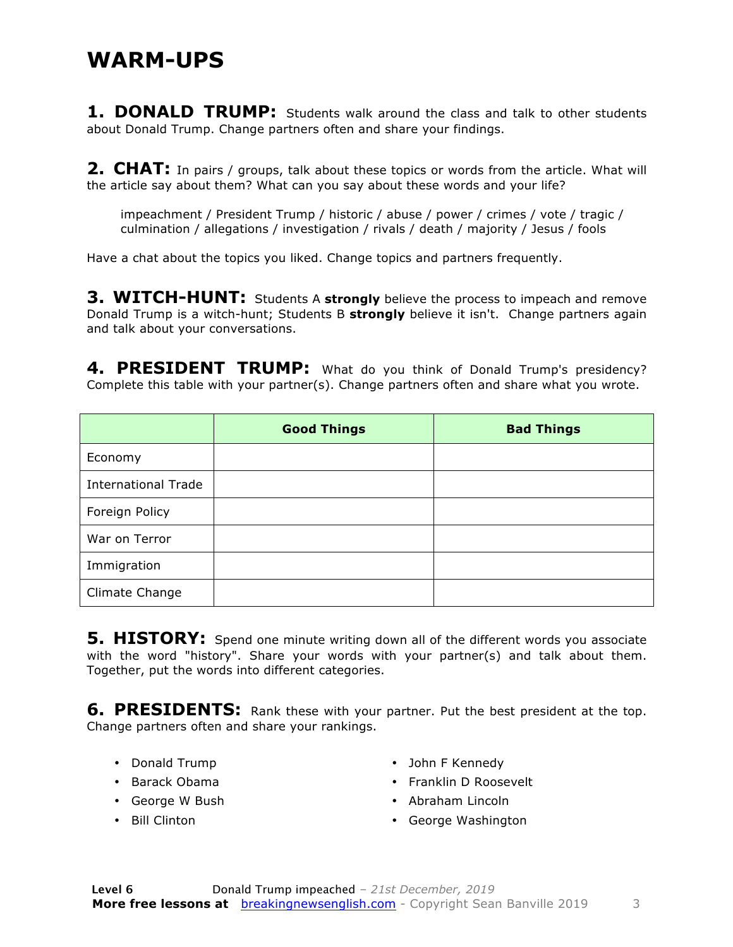#### **WARM-UPS**

**1. DONALD TRUMP:** Students walk around the class and talk to other students about Donald Trump. Change partners often and share your findings.

**2. CHAT:** In pairs / groups, talk about these topics or words from the article. What will the article say about them? What can you say about these words and your life?

impeachment / President Trump / historic / abuse / power / crimes / vote / tragic / culmination / allegations / investigation / rivals / death / majority / Jesus / fools

Have a chat about the topics you liked. Change topics and partners frequently.

**3. WITCH-HUNT:** Students A strongly believe the process to impeach and remove Donald Trump is a witch-hunt; Students B **strongly** believe it isn't. Change partners again and talk about your conversations.

4. PRESIDENT TRUMP: What do you think of Donald Trump's presidency? Complete this table with your partner(s). Change partners often and share what you wrote.

|                            | <b>Good Things</b> | <b>Bad Things</b> |
|----------------------------|--------------------|-------------------|
| Economy                    |                    |                   |
| <b>International Trade</b> |                    |                   |
| Foreign Policy             |                    |                   |
| War on Terror              |                    |                   |
| Immigration                |                    |                   |
| Climate Change             |                    |                   |

**5. HISTORY:** Spend one minute writing down all of the different words you associate with the word "history". Share your words with your partner(s) and talk about them. Together, put the words into different categories.

**6. PRESIDENTS:** Rank these with your partner. Put the best president at the top. Change partners often and share your rankings.

- Donald Trump
- Barack Obama
- George W Bush
- Bill Clinton
- John F Kennedy
- Franklin D Roosevelt
- Abraham Lincoln
- George Washington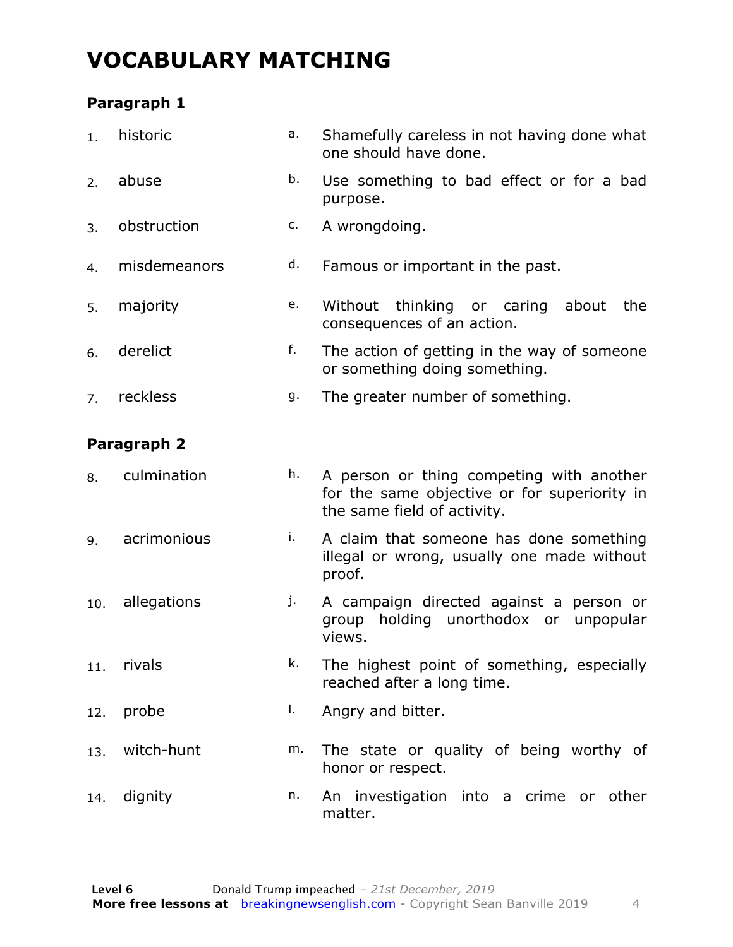### **VOCABULARY MATCHING**

#### **Paragraph 1**

| 1.  | historic     | a. | Shamefully careless in not having done what<br>one should have done.                                                    |
|-----|--------------|----|-------------------------------------------------------------------------------------------------------------------------|
| 2.  | abuse        | b. | Use something to bad effect or for a bad<br>purpose.                                                                    |
| 3.  | obstruction  | c. | A wrongdoing.                                                                                                           |
| 4.  | misdemeanors | d. | Famous or important in the past.                                                                                        |
| 5.  | majority     | e. | thinking or caring<br>Without<br>about<br>the<br>consequences of an action.                                             |
| 6.  | derelict     | f. | The action of getting in the way of someone<br>or something doing something.                                            |
| 7.  | reckless     | g. | The greater number of something.                                                                                        |
|     | Paragraph 2  |    |                                                                                                                         |
| 8.  | culmination  | h. | A person or thing competing with another<br>for the same objective or for superiority in<br>the same field of activity. |
| 9.  | acrimonious  | i. | A claim that someone has done something<br>illegal or wrong, usually one made without<br>proof.                         |
| 10. | allegations  | j. | A campaign directed against a person or<br>holding unorthodox or<br>group<br>unpopular<br>views.                        |
| 11. | rivals       | k. | The highest point of something, especially<br>reached after a long time.                                                |
| 12. | probe        | I. | Angry and bitter.                                                                                                       |
| 13. | witch-hunt   | m. | The state or quality of being worthy of<br>honor or respect.                                                            |
| 14. | dignity      | n. | An investigation into a crime or other<br>matter.                                                                       |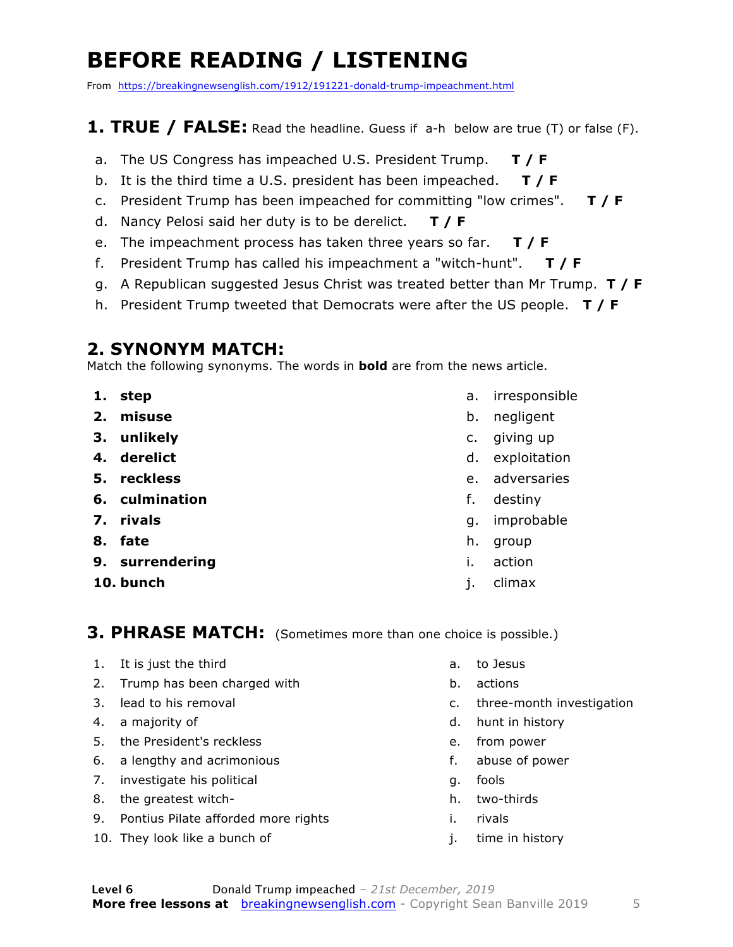### **BEFORE READING / LISTENING**

From https://breakingnewsenglish.com/1912/191221-donald-trump-impeachment.html

#### **1. TRUE / FALSE:** Read the headline. Guess if a-h below are true (T) or false (F).

- a. The US Congress has impeached U.S. President Trump. **T / F**
- b. It is the third time a U.S. president has been impeached. **T / F**
- c. President Trump has been impeached for committing "low crimes". **T / F**
- d. Nancy Pelosi said her duty is to be derelict. **T / F**
- e. The impeachment process has taken three years so far. **T / F**
- f. President Trump has called his impeachment a "witch-hunt". **T / F**
- g. A Republican suggested Jesus Christ was treated better than Mr Trump. **T / F**
- h. President Trump tweeted that Democrats were after the US people. **T / F**

#### **2. SYNONYM MATCH:**

Match the following synonyms. The words in **bold** are from the news article.

- **1. step**
- **2. misuse**
- **3. unlikely**
- **4. derelict**
- **5. reckless**
- **6. culmination**
- **7. rivals**
- **8. fate**
- **9. surrendering**
- **10. bunch**
- a. irresponsible
- b. negligent
- c. giving up
- d. exploitation
- e. adversaries
- f. destiny
- g. improbable
- h. group
- i. action
- j. climax

#### **3. PHRASE MATCH:** (Sometimes more than one choice is possible.)

- 1. It is just the third
- 2. Trump has been charged with
- 3. lead to his removal
- 4. a majority of
- 5. the President's reckless
- 6. a lengthy and acrimonious
- 7. investigate his political
- 8. the greatest witch-
- 9. Pontius Pilate afforded more rights
- 10. They look like a bunch of
- a. to Jesus
- b. actions
- c. three-month investigation
- d. hunt in history
- e. from power
- f. abuse of power
- g. fools
- h. two-thirds
- i. rivals
- j. time in history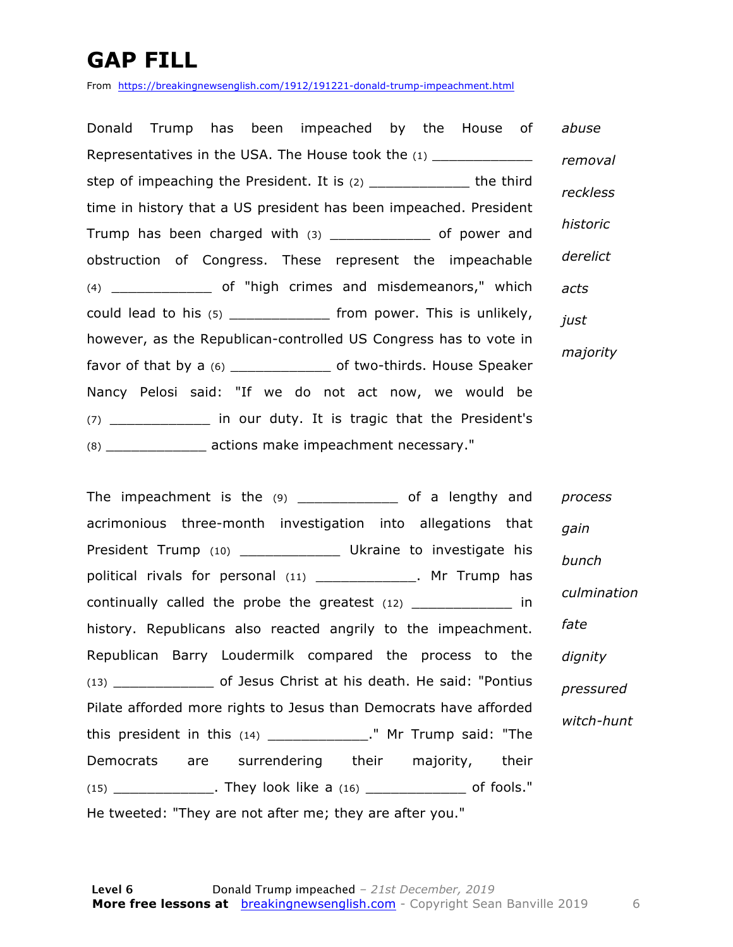### **GAP FILL**

From https://breakingnewsenglish.com/1912/191221-donald-trump-impeachment.html

Donald Trump has been impeached by the House of Representatives in the USA. The House took the (1) \_\_\_\_\_\_\_\_\_\_\_\_ step of impeaching the President. It is (2) \_\_\_\_\_\_\_\_\_\_\_\_\_\_\_\_ the third time in history that a US president has been impeached. President Trump has been charged with (3) \_\_\_\_\_\_\_\_\_\_\_\_ of power and obstruction of Congress. These represent the impeachable (4) \_\_\_\_\_\_\_\_\_\_\_\_ of "high crimes and misdemeanors," which could lead to his  $(5)$  \_\_\_\_\_\_\_\_\_\_\_\_\_\_\_ from power. This is unlikely, however, as the Republican-controlled US Congress has to vote in favor of that by a (6) \_\_\_\_\_\_\_\_\_\_\_\_ of two-thirds. House Speaker Nancy Pelosi said: "If we do not act now, we would be (7) \_\_\_\_\_\_\_\_\_\_\_\_ in our duty. It is tragic that the President's (8) \_\_\_\_\_\_\_\_\_\_\_\_ actions make impeachment necessary." *abuse removal reckless historic derelict acts just majority*

The impeachment is the (9) \_\_\_\_\_\_\_\_\_\_\_\_\_\_ of a lengthy and acrimonious three-month investigation into allegations that President Trump (10) \_\_\_\_\_\_\_\_\_\_\_\_\_\_\_ Ukraine to investigate his political rivals for personal (11) \_\_\_\_\_\_\_\_\_\_\_\_\_\_. Mr Trump has continually called the probe the greatest (12) \_\_\_\_\_\_\_\_\_\_\_\_ in history. Republicans also reacted angrily to the impeachment. Republican Barry Loudermilk compared the process to the (13) \_\_\_\_\_\_\_\_\_\_\_\_ of Jesus Christ at his death. He said: "Pontius Pilate afforded more rights to Jesus than Democrats have afforded this president in this  $(14)$  \_\_\_\_\_\_\_\_\_\_\_\_\_." Mr Trump said: "The Democrats are surrendering their majority, their (15) \_\_\_\_\_\_\_\_\_\_\_\_. They look like a (16) \_\_\_\_\_\_\_\_\_\_\_\_ of fools." He tweeted: "They are not after me; they are after you." *process gain bunch culmination fate dignity pressured witch-hunt*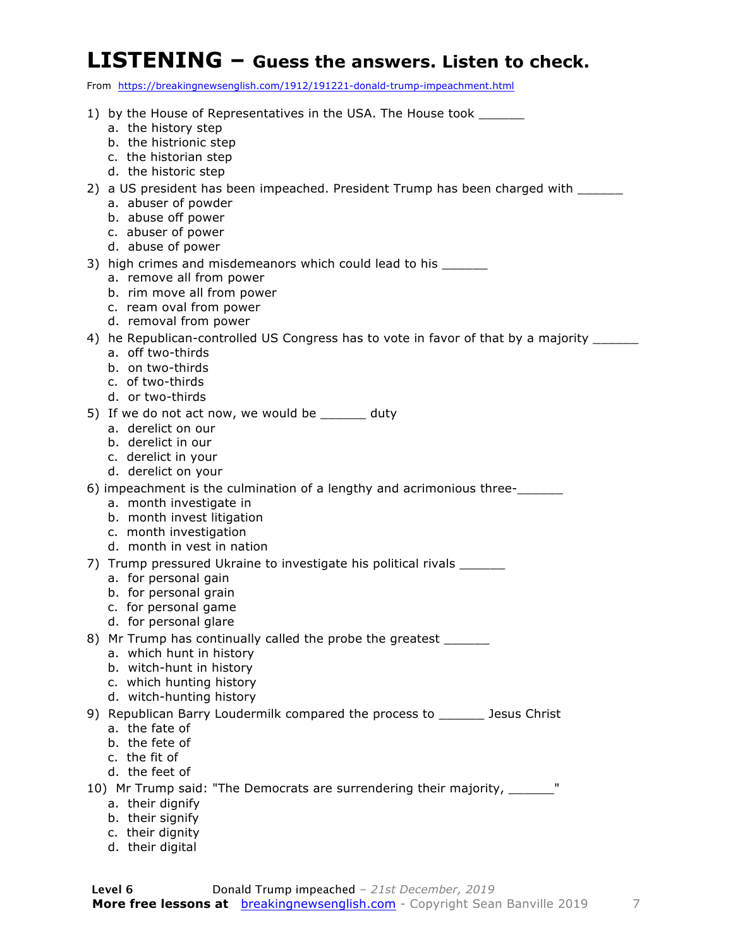#### **LISTENING – Guess the answers. Listen to check.**

From https://breakingnewsenglish.com/1912/191221-donald-trump-impeachment.html

| 1) by the House of Representatives in the USA. The House took __________________                              |
|---------------------------------------------------------------------------------------------------------------|
| a. the history step                                                                                           |
| b. the histrionic step<br>c. the historian step                                                               |
| d. the historic step                                                                                          |
| 2) a US president has been impeached. President Trump has been charged with _____                             |
| a. abuser of powder                                                                                           |
| b. abuse off power                                                                                            |
| c. abuser of power<br>d. abuse of power                                                                       |
| 3) high crimes and misdemeanors which could lead to his _______                                               |
| a. remove all from power                                                                                      |
| b. rim move all from power                                                                                    |
| c. ream oval from power                                                                                       |
| d. removal from power                                                                                         |
| 4) he Republican-controlled US Congress has to vote in favor of that by a majority _____<br>a. off two-thirds |
| b. on two-thirds                                                                                              |
| c. of two-thirds                                                                                              |
| d. or two-thirds                                                                                              |
| 5) If we do not act now, we would be _______ duty<br>a. derelict on our                                       |
| b. derelict in our                                                                                            |
| c. derelict in your                                                                                           |
| d. derelict on your                                                                                           |
| 6) impeachment is the culmination of a lengthy and acrimonious three-                                         |
| a. month investigate in<br>b. month invest litigation                                                         |
| c. month investigation                                                                                        |
| d. month in yest in nation                                                                                    |
| 7) Trump pressured Ukraine to investigate his political rivals ______                                         |
| a. for personal gain                                                                                          |
| b. for personal grain<br>c. for personal game                                                                 |
| d. for personal glare                                                                                         |
| 8) Mr Trump has continually called the probe the greatest _______                                             |
| a. which hunt in history                                                                                      |
| b. witch-hunt in history<br>c. which hunting history                                                          |
| d. witch-hunting history                                                                                      |
| 9) Republican Barry Loudermilk compared the process to _______ Jesus Christ                                   |
| a. the fate of                                                                                                |
| b. the fete of                                                                                                |
| c. the fit of<br>d. the feet of                                                                               |
| 10) Mr Trump said: "The Democrats are surrendering their majority, _______                                    |
| a. their dignify                                                                                              |
| b. their signify                                                                                              |
| c. their dignity                                                                                              |
| d. their digital                                                                                              |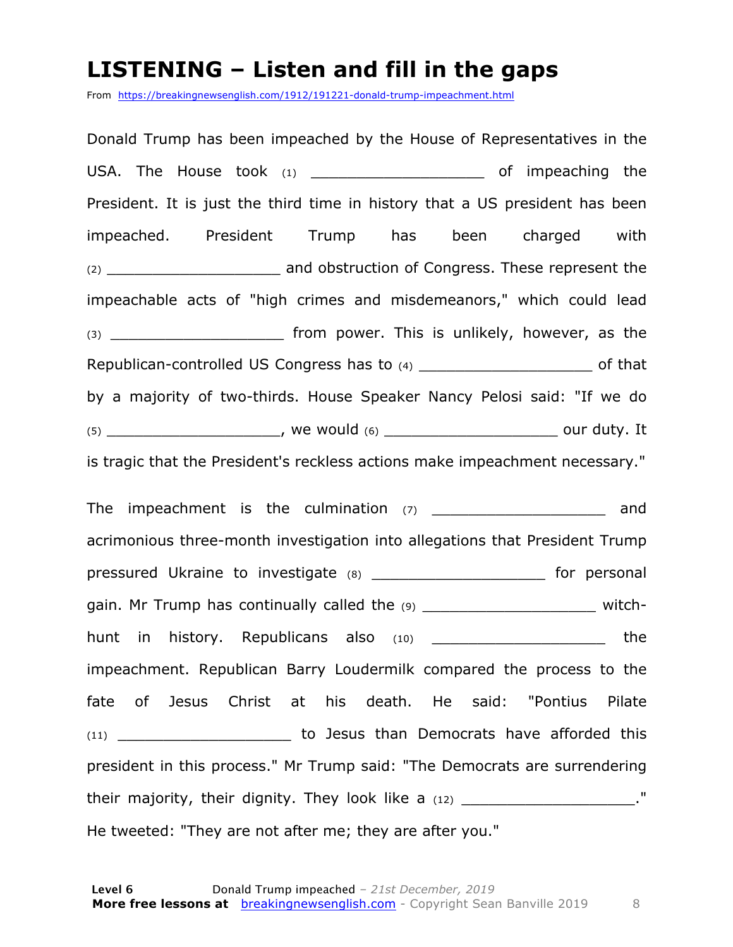#### **LISTENING – Listen and fill in the gaps**

From https://breakingnewsenglish.com/1912/191221-donald-trump-impeachment.html

Donald Trump has been impeached by the House of Representatives in the USA. The House took (1) and the settlement of impeaching the President. It is just the third time in history that a US president has been impeached. President Trump has been charged with (2) \_\_\_\_\_\_\_\_\_\_\_\_\_\_\_\_\_\_\_ and obstruction of Congress. These represent the impeachable acts of "high crimes and misdemeanors," which could lead  $(3)$  \_\_\_\_\_\_\_\_\_\_\_\_\_\_\_\_\_\_\_\_\_\_\_\_\_\_ from power. This is unlikely, however, as the Republican-controlled US Congress has to (4) \_\_\_\_\_\_\_\_\_\_\_\_\_\_\_\_\_\_\_\_\_\_\_\_ of that by a majority of two-thirds. House Speaker Nancy Pelosi said: "If we do  $(5)$  and  $(6)$  we would  $(6)$  and  $(7)$  and  $(8)$  and  $(9)$  and  $(10)$  and  $(11)$ is tragic that the President's reckless actions make impeachment necessary."

The impeachment is the culmination  $(7)$  and acrimonious three-month investigation into allegations that President Trump pressured Ukraine to investigate (8) pressured Ukraine to investigate (8) gain. Mr Trump has continually called the (9) The matrix witchhunt in history. Republicans also (10) \_\_\_\_\_\_\_\_\_\_\_\_\_\_\_\_\_\_\_\_\_\_\_\_ the impeachment. Republican Barry Loudermilk compared the process to the fate of Jesus Christ at his death. He said: "Pontius Pilate (11) \_\_\_\_\_\_\_\_\_\_\_\_\_\_\_\_\_\_\_\_\_\_\_\_\_\_\_ to Jesus than Democrats have afforded this president in this process." Mr Trump said: "The Democrats are surrendering their majority, their dignity. They look like a  $(12)$  dividend  $\blacksquare$ He tweeted: "They are not after me; they are after you."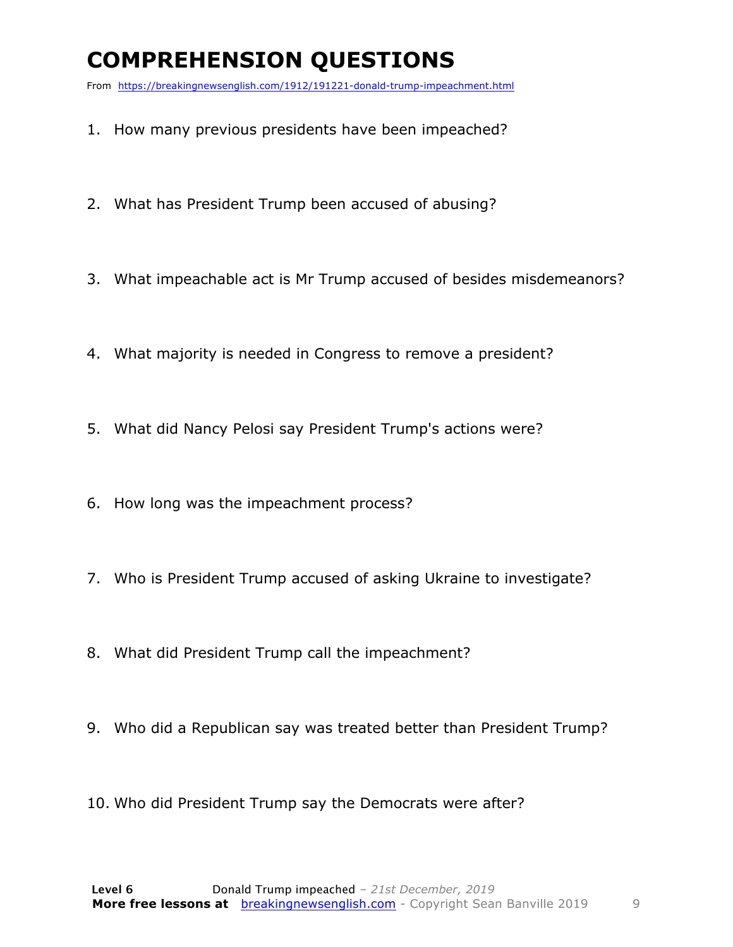### **COMPREHENSION QUESTIONS**

From https://breakingnewsenglish.com/1912/191221-donald-trump-impeachment.html

- 1. How many previous presidents have been impeached?
- 2. What has President Trump been accused of abusing?
- 3. What impeachable act is Mr Trump accused of besides misdemeanors?
- 4. What majority is needed in Congress to remove a president?
- 5. What did Nancy Pelosi say President Trump's actions were?
- 6. How long was the impeachment process?
- 7. Who is President Trump accused of asking Ukraine to investigate?
- 8. What did President Trump call the impeachment?
- 9. Who did a Republican say was treated better than President Trump?
- 10. Who did President Trump say the Democrats were after?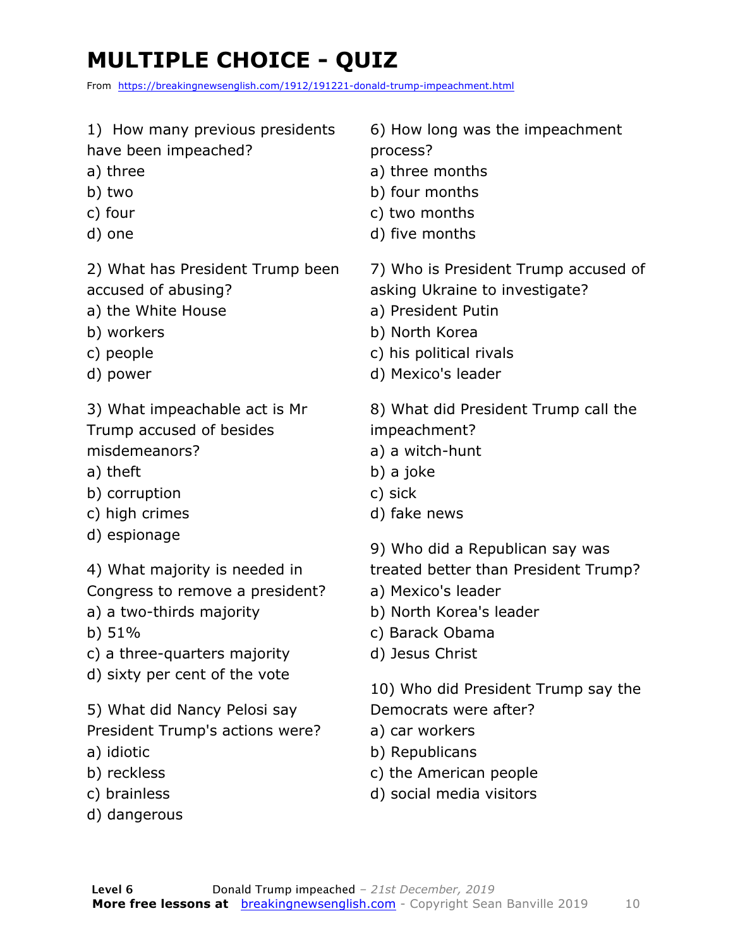## **MULTIPLE CHOICE - QUIZ**

From https://breakingnewsenglish.com/1912/191221-donald-trump-impeachment.html

1) How many previous presidents

have been impeached?

- a) three
- b) two
- c) four
- d) one

2) What has President Trump been accused of abusing?

- a) the White House
- b) workers
- c) people
- d) power

3) What impeachable act is Mr Trump accused of besides misdemeanors?

- a) theft
- b) corruption
- c) high crimes
- d) espionage
- 4) What majority is needed in
- Congress to remove a president?
- a) a two-thirds majority
- b) 51%
- c) a three-quarters majority
- d) sixty per cent of the vote
- 5) What did Nancy Pelosi say President Trump's actions were?
- a) idiotic
- b) reckless
- c) brainless
- d) dangerous

6) How long was the impeachment process?

- a) three months
- b) four months
- c) two months
- d) five months

7) Who is President Trump accused of asking Ukraine to investigate?

- a) President Putin
- b) North Korea
- c) his political rivals
- d) Mexico's leader
- 8) What did President Trump call the impeachment?
- a) a witch-hunt
- b) a joke
- c) sick
- d) fake news
- 9) Who did a Republican say was
- treated better than President Trump?
- a) Mexico's leader
- b) North Korea's leader
- c) Barack Obama
- d) Jesus Christ

10) Who did President Trump say the Democrats were after?

- a) car workers
- b) Republicans
- c) the American people
- d) social media visitors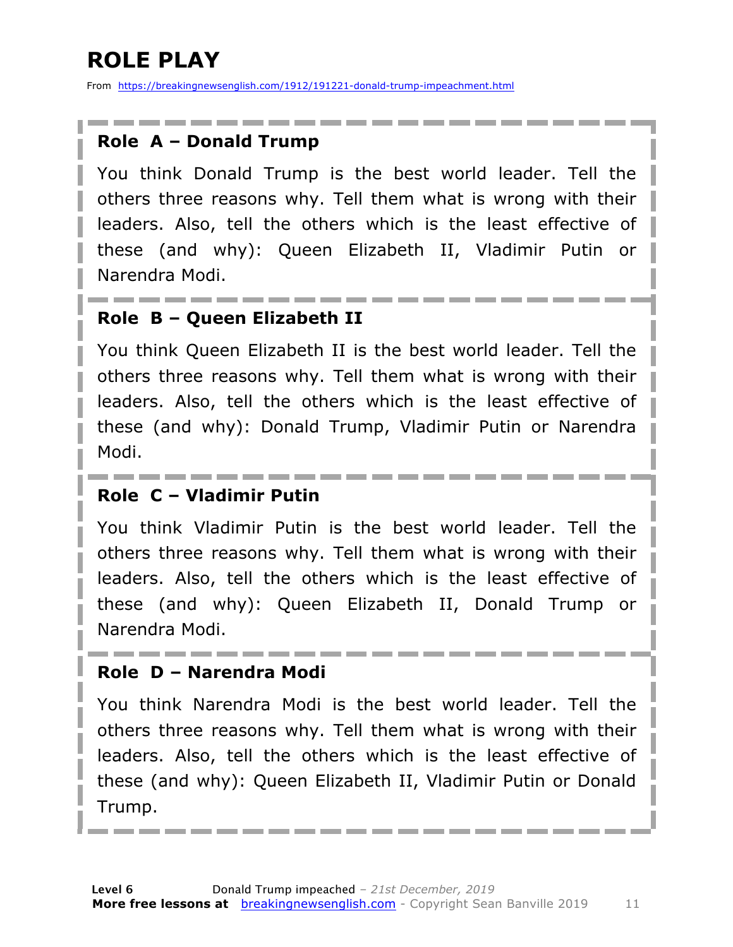### **ROLE PLAY**

From https://breakingnewsenglish.com/1912/191221-donald-trump-impeachment.html

#### **Role A – Donald Trump**

You think Donald Trump is the best world leader. Tell the others three reasons why. Tell them what is wrong with their leaders. Also, tell the others which is the least effective of these (and why): Queen Elizabeth II, Vladimir Putin or Narendra Modi.

#### **Role B – Queen Elizabeth II**

You think Queen Elizabeth II is the best world leader. Tell the others three reasons why. Tell them what is wrong with their leaders. Also, tell the others which is the least effective of these (and why): Donald Trump, Vladimir Putin or Narendra Modi.

#### **Role C – Vladimir Putin**

You think Vladimir Putin is the best world leader. Tell the others three reasons why. Tell them what is wrong with their leaders. Also, tell the others which is the least effective of these (and why): Queen Elizabeth II, Donald Trump or Narendra Modi.

#### **Role D – Narendra Modi**

You think Narendra Modi is the best world leader. Tell the others three reasons why. Tell them what is wrong with their leaders. Also, tell the others which is the least effective of these (and why): Queen Elizabeth II, Vladimir Putin or Donald Trump.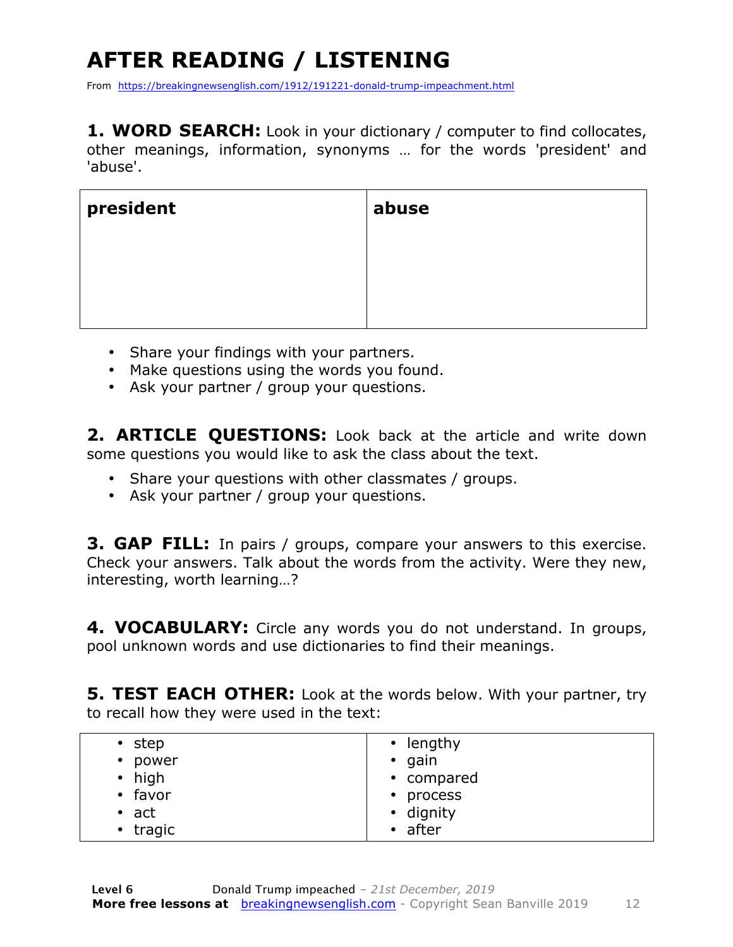## **AFTER READING / LISTENING**

From https://breakingnewsenglish.com/1912/191221-donald-trump-impeachment.html

**1. WORD SEARCH:** Look in your dictionary / computer to find collocates, other meanings, information, synonyms … for the words 'president' and 'abuse'.

| president | abuse |
|-----------|-------|
|           |       |
|           |       |
|           |       |

- Share your findings with your partners.
- Make questions using the words you found.
- Ask your partner / group your questions.

**2. ARTICLE QUESTIONS:** Look back at the article and write down some questions you would like to ask the class about the text.

- Share your questions with other classmates / groups.
- Ask your partner / group your questions.

**3. GAP FILL:** In pairs / groups, compare your answers to this exercise. Check your answers. Talk about the words from the activity. Were they new, interesting, worth learning…?

**4. VOCABULARY:** Circle any words you do not understand. In groups, pool unknown words and use dictionaries to find their meanings.

**5. TEST EACH OTHER:** Look at the words below. With your partner, try to recall how they were used in the text:

| $\cdot$ lengthy |
|-----------------|
| $\cdot$ gain    |
| • compared      |
| • process       |
| • dignity       |
| $\cdot$ after   |
|                 |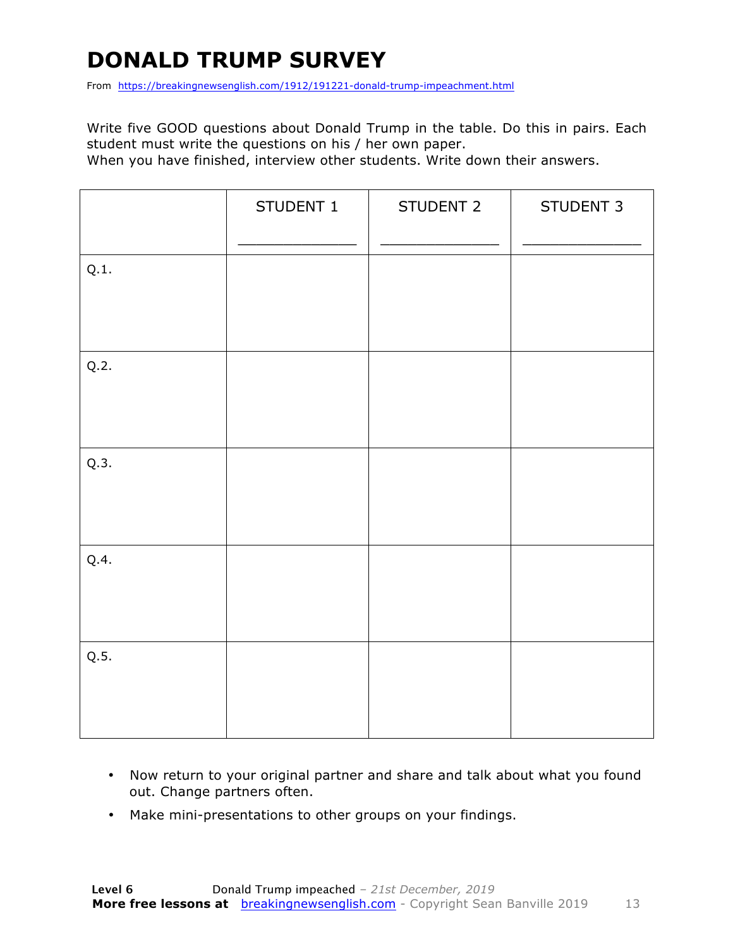### **DONALD TRUMP SURVEY**

From https://breakingnewsenglish.com/1912/191221-donald-trump-impeachment.html

Write five GOOD questions about Donald Trump in the table. Do this in pairs. Each student must write the questions on his / her own paper.

When you have finished, interview other students. Write down their answers.

|      | STUDENT 1 | STUDENT 2 | STUDENT 3 |
|------|-----------|-----------|-----------|
| Q.1. |           |           |           |
| Q.2. |           |           |           |
| Q.3. |           |           |           |
| Q.4. |           |           |           |
| Q.5. |           |           |           |

- Now return to your original partner and share and talk about what you found out. Change partners often.
- Make mini-presentations to other groups on your findings.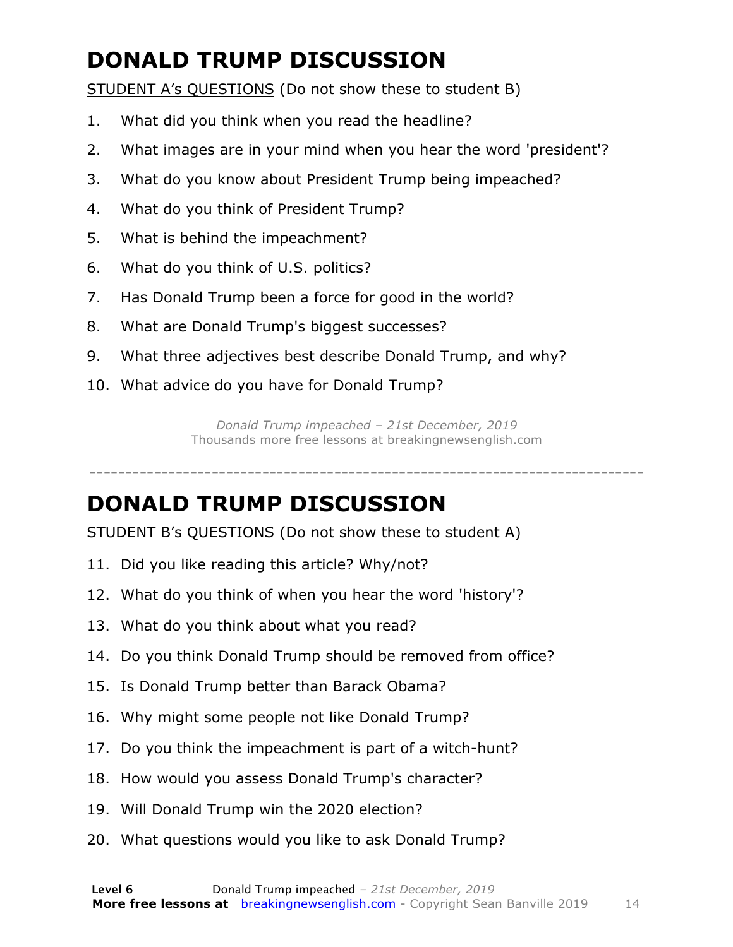### **DONALD TRUMP DISCUSSION**

STUDENT A's QUESTIONS (Do not show these to student B)

- 1. What did you think when you read the headline?
- 2. What images are in your mind when you hear the word 'president'?
- 3. What do you know about President Trump being impeached?
- 4. What do you think of President Trump?
- 5. What is behind the impeachment?
- 6. What do you think of U.S. politics?
- 7. Has Donald Trump been a force for good in the world?
- 8. What are Donald Trump's biggest successes?
- 9. What three adjectives best describe Donald Trump, and why?
- 10. What advice do you have for Donald Trump?

*Donald Trump impeached – 21st December, 2019* Thousands more free lessons at breakingnewsenglish.com

-----------------------------------------------------------------------------

### **DONALD TRUMP DISCUSSION**

STUDENT B's QUESTIONS (Do not show these to student A)

- 11. Did you like reading this article? Why/not?
- 12. What do you think of when you hear the word 'history'?
- 13. What do you think about what you read?
- 14. Do you think Donald Trump should be removed from office?
- 15. Is Donald Trump better than Barack Obama?
- 16. Why might some people not like Donald Trump?
- 17. Do you think the impeachment is part of a witch-hunt?
- 18. How would you assess Donald Trump's character?
- 19. Will Donald Trump win the 2020 election?
- 20. What questions would you like to ask Donald Trump?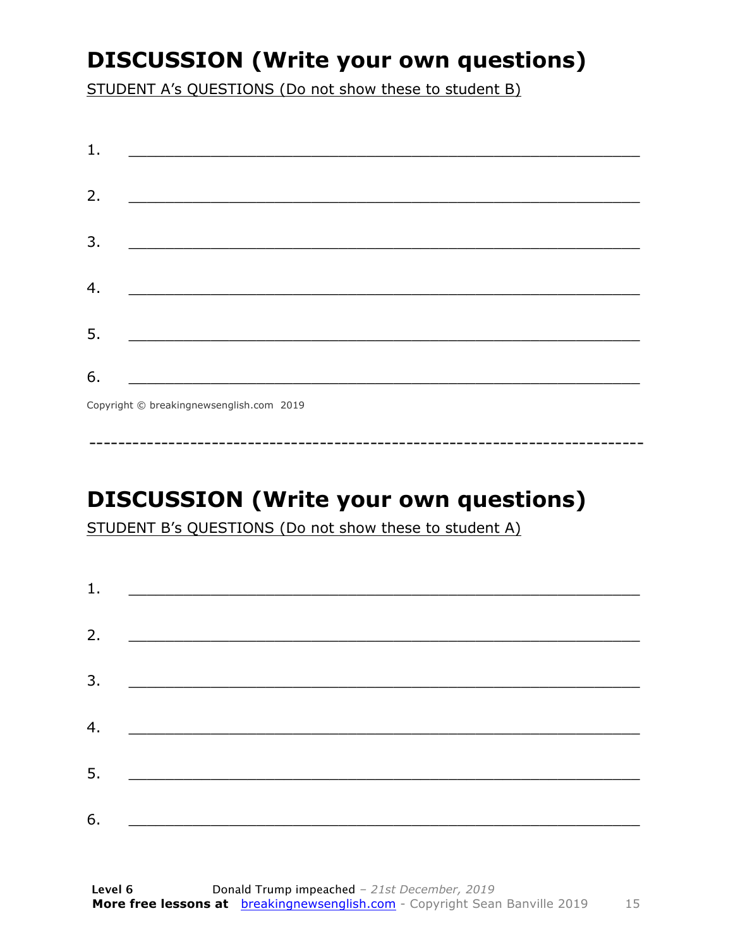### **DISCUSSION (Write your own questions)**

STUDENT A's QUESTIONS (Do not show these to student B)

| 1. |                                                                                                                       |
|----|-----------------------------------------------------------------------------------------------------------------------|
|    |                                                                                                                       |
| 2. |                                                                                                                       |
|    |                                                                                                                       |
| 3. | <u> 1989 - Johann Barn, mars ar breithinn ar chuid ann an t-Alban ann an t-Alban ann an t-Alban ann an t-Alban an</u> |
|    |                                                                                                                       |
| 4. |                                                                                                                       |
|    |                                                                                                                       |
| 5. |                                                                                                                       |
|    |                                                                                                                       |
| 6. |                                                                                                                       |
|    | Convright © breaking newsenglish com 2019                                                                             |
|    |                                                                                                                       |

Copyright © breakingnewsenglish.com 2019

### **DISCUSSION (Write your own questions)**

STUDENT B's QUESTIONS (Do not show these to student A)

| 1. |                                                                                                                         |  |  |
|----|-------------------------------------------------------------------------------------------------------------------------|--|--|
|    |                                                                                                                         |  |  |
| 2. | <u> 1980 - Andrea Stationer, fransk politiker (d. 1980)</u>                                                             |  |  |
| 3. |                                                                                                                         |  |  |
|    |                                                                                                                         |  |  |
| 4. | <u> 1980 - Jan Samuel Barbara, margaret eta idazlea (h. 1980).</u>                                                      |  |  |
| 5. | <u> 1986 - Johann Stoff, deutscher Stoffen und der Stoffen und der Stoffen und der Stoffen und der Stoffen und der </u> |  |  |
|    |                                                                                                                         |  |  |
| 6. | <u> 1989 - Johann John Stone, market fan it ferskearre fan it ferskearre fan it ferskearre fan it ferskearre fan i</u>  |  |  |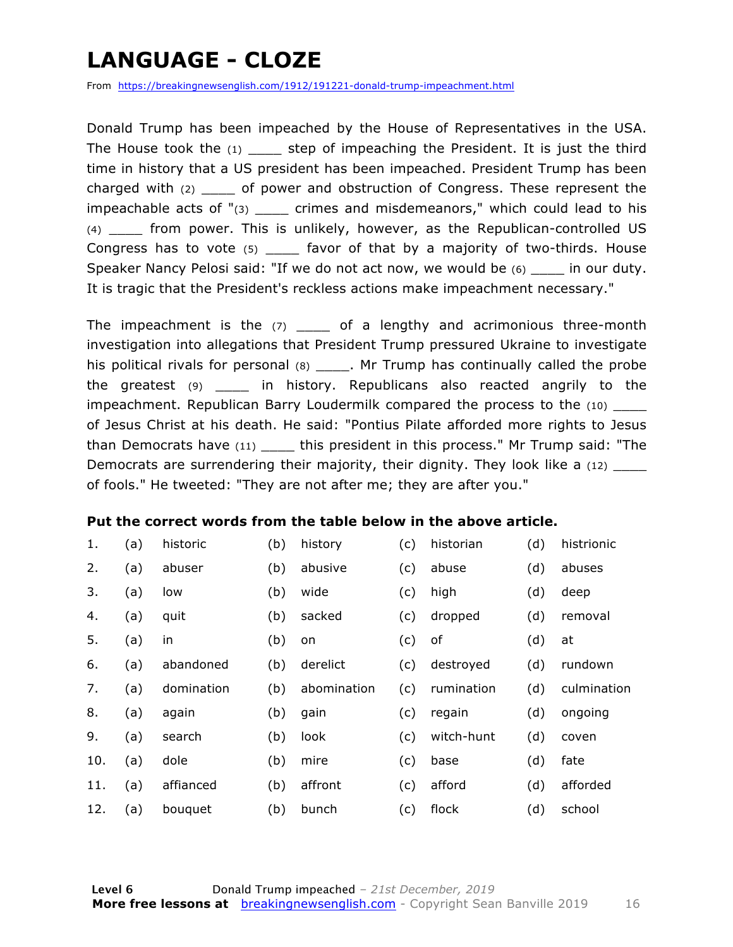### **LANGUAGE - CLOZE**

From https://breakingnewsenglish.com/1912/191221-donald-trump-impeachment.html

Donald Trump has been impeached by the House of Representatives in the USA. The House took the  $(1)$  \_\_\_\_ step of impeaching the President. It is just the third time in history that a US president has been impeached. President Trump has been charged with (2) \_\_\_\_ of power and obstruction of Congress. These represent the impeachable acts of " $(3)$  \_\_\_\_ crimes and misdemeanors," which could lead to his (4) \_\_\_\_ from power. This is unlikely, however, as the Republican-controlled US Congress has to vote (5) favor of that by a majority of two-thirds. House Speaker Nancy Pelosi said: "If we do not act now, we would be  $(6)$  \_\_\_\_ in our duty. It is tragic that the President's reckless actions make impeachment necessary."

The impeachment is the  $(7)$  of a lengthy and acrimonious three-month investigation into allegations that President Trump pressured Ukraine to investigate his political rivals for personal  $(8)$  \_\_\_\_\_. Mr Trump has continually called the probe the greatest (9) \_\_\_\_ in history. Republicans also reacted angrily to the impeachment. Republican Barry Loudermilk compared the process to the (10) of Jesus Christ at his death. He said: "Pontius Pilate afforded more rights to Jesus than Democrats have (11) \_\_\_\_\_ this president in this process." Mr Trump said: "The Democrats are surrendering their majority, their dignity. They look like a (12) \_\_\_\_ of fools." He tweeted: "They are not after me; they are after you."

#### **Put the correct words from the table below in the above article.**

| 1.  | (a) | historic   | (b) | history     | (c) | historian  | (d) | histrionic  |
|-----|-----|------------|-----|-------------|-----|------------|-----|-------------|
| 2.  | (a) | abuser     | (b) | abusive     | (c) | abuse      | (d) | abuses      |
| 3.  | (a) | low        | (b) | wide        | (c) | high       | (d) | deep        |
| 4.  | (a) | quit       | (b) | sacked      | (c) | dropped    | (d) | removal     |
| 5.  | (a) | in         | (b) | on          | (c) | of         | (d) | at          |
| 6.  | (a) | abandoned  | (b) | derelict    | (c) | destroyed  | (d) | rundown     |
| 7.  | (a) | domination | (b) | abomination | (c) | rumination | (d) | culmination |
| 8.  | (a) | again      | (b) | gain        | (c) | regain     | (d) | ongoing     |
| 9.  | (a) | search     | (b) | look        | (c) | witch-hunt | (d) | coven       |
| 10. | (a) | dole       | (b) | mire        | (c) | base       | (d) | fate        |
| 11. | (a) | affianced  | (b) | affront     | (c) | afford     | (d) | afforded    |
| 12. | (a) | bouquet    | (b) | bunch       | (c) | flock      | (d) | school      |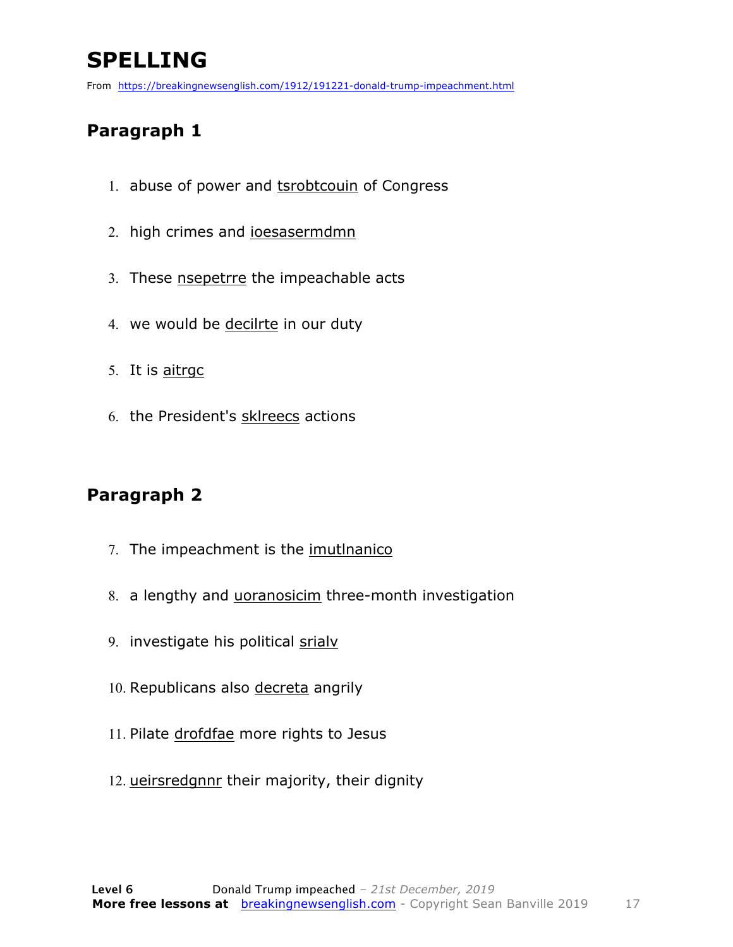### **SPELLING**

From https://breakingnewsenglish.com/1912/191221-donald-trump-impeachment.html

#### **Paragraph 1**

- 1. abuse of power and tsrobtcouin of Congress
- 2. high crimes and ioesasermdmn
- 3. These nsepetrre the impeachable acts
- 4. we would be decilrte in our duty
- 5. It is aitrgc
- 6. the President's sklreecs actions

#### **Paragraph 2**

- 7. The impeachment is the imutlnanico
- 8. a lengthy and uoranosicim three-month investigation
- 9. investigate his political srialv
- 10. Republicans also decreta angrily
- 11. Pilate drofdfae more rights to Jesus
- 12. ueirsredgnnr their majority, their dignity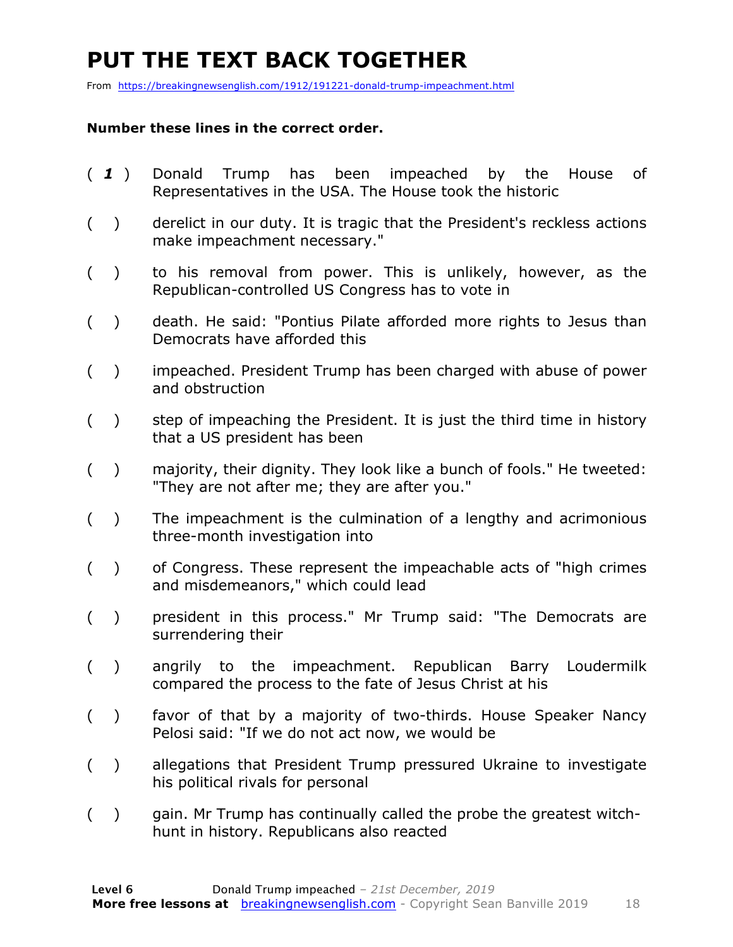### **PUT THE TEXT BACK TOGETHER**

From https://breakingnewsenglish.com/1912/191221-donald-trump-impeachment.html

#### **Number these lines in the correct order.**

- ( *1* ) Donald Trump has been impeached by the House of Representatives in the USA. The House took the historic
- ( ) derelict in our duty. It is tragic that the President's reckless actions make impeachment necessary."
- ( ) to his removal from power. This is unlikely, however, as the Republican-controlled US Congress has to vote in
- ( ) death. He said: "Pontius Pilate afforded more rights to Jesus than Democrats have afforded this
- ( ) impeached. President Trump has been charged with abuse of power and obstruction
- ( ) step of impeaching the President. It is just the third time in history that a US president has been
- ( ) majority, their dignity. They look like a bunch of fools." He tweeted: "They are not after me; they are after you."
- ( ) The impeachment is the culmination of a lengthy and acrimonious three-month investigation into
- ( ) of Congress. These represent the impeachable acts of "high crimes and misdemeanors," which could lead
- ( ) president in this process." Mr Trump said: "The Democrats are surrendering their
- ( ) angrily to the impeachment. Republican Barry Loudermilk compared the process to the fate of Jesus Christ at his
- ( ) favor of that by a majority of two-thirds. House Speaker Nancy Pelosi said: "If we do not act now, we would be
- ( ) allegations that President Trump pressured Ukraine to investigate his political rivals for personal
- ( ) gain. Mr Trump has continually called the probe the greatest witchhunt in history. Republicans also reacted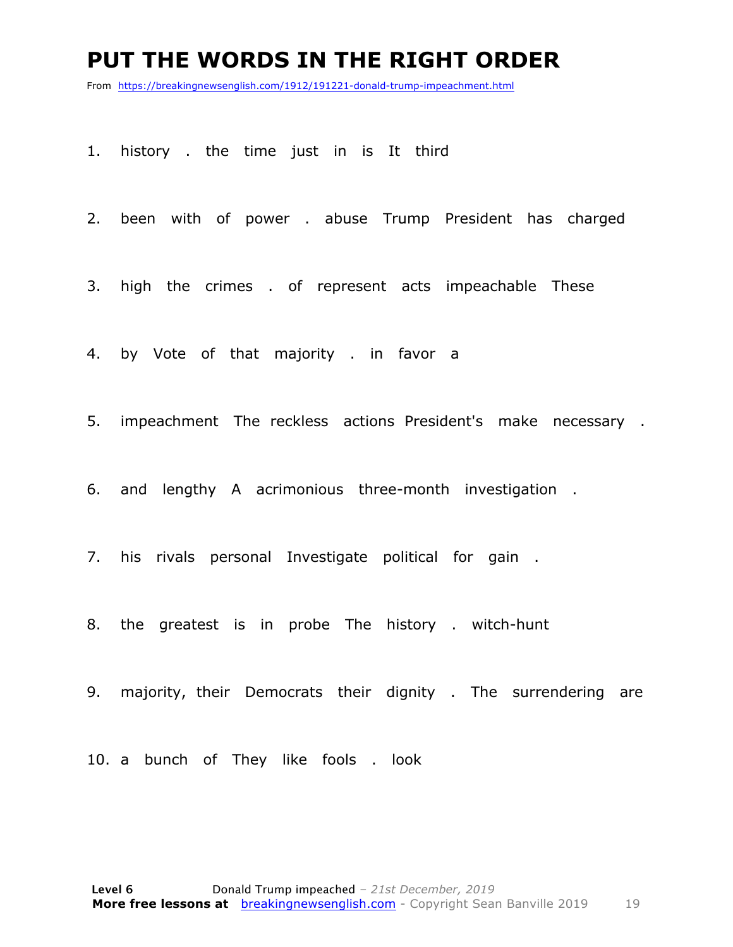#### **PUT THE WORDS IN THE RIGHT ORDER**

From https://breakingnewsenglish.com/1912/191221-donald-trump-impeachment.html

- 1. history . the time just in is It third
- 2. been with of power . abuse Trump President has charged
- 3. high the crimes . of represent acts impeachable These
- 4. by Vote of that majority . in favor a
- 5. impeachment The reckless actions President's make necessary .
- 6. and lengthy A acrimonious three-month investigation .
- 7. his rivals personal Investigate political for gain .
- 8. the greatest is in probe The history . witch-hunt
- 9. majority, their Democrats their dignity . The surrendering are
- 10. a bunch of They like fools . look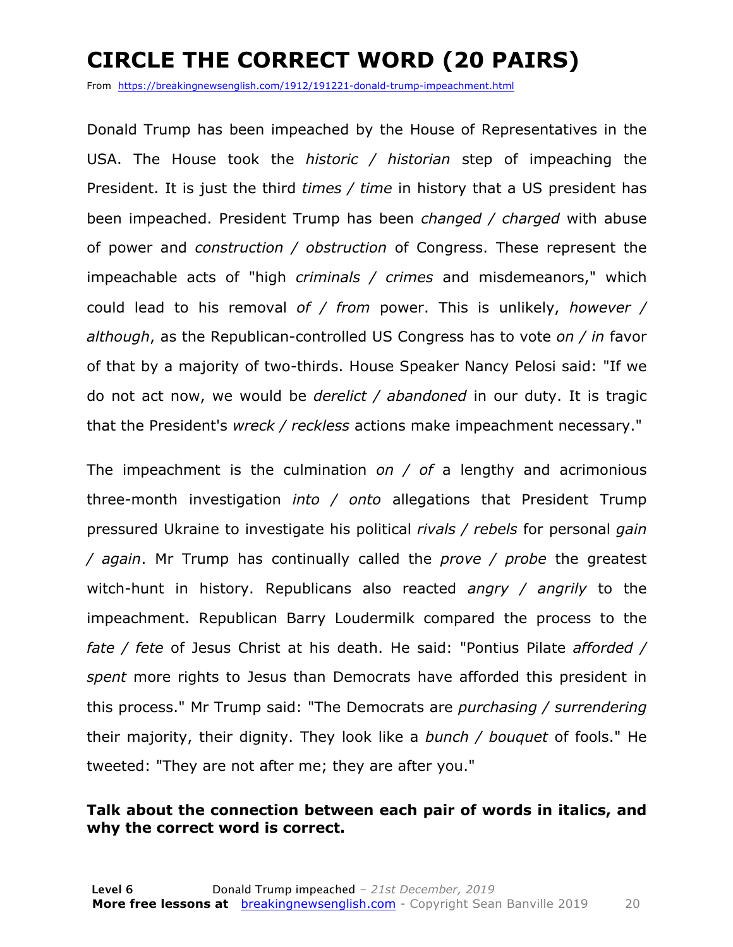### **CIRCLE THE CORRECT WORD (20 PAIRS)**

From https://breakingnewsenglish.com/1912/191221-donald-trump-impeachment.html

Donald Trump has been impeached by the House of Representatives in the USA. The House took the *historic / historian* step of impeaching the President. It is just the third *times / time* in history that a US president has been impeached. President Trump has been *changed / charged* with abuse of power and *construction / obstruction* of Congress. These represent the impeachable acts of "high *criminals / crimes* and misdemeanors," which could lead to his removal *of / from* power. This is unlikely, *however / although*, as the Republican-controlled US Congress has to vote *on / in* favor of that by a majority of two-thirds. House Speaker Nancy Pelosi said: "If we do not act now, we would be *derelict / abandoned* in our duty. It is tragic that the President's *wreck / reckless* actions make impeachment necessary."

The impeachment is the culmination *on / of* a lengthy and acrimonious three-month investigation *into / onto* allegations that President Trump pressured Ukraine to investigate his political *rivals / rebels* for personal *gain / again*. Mr Trump has continually called the *prove / probe* the greatest witch-hunt in history. Republicans also reacted *angry / angrily* to the impeachment. Republican Barry Loudermilk compared the process to the *fate / fete* of Jesus Christ at his death. He said: "Pontius Pilate *afforded / spent* more rights to Jesus than Democrats have afforded this president in this process." Mr Trump said: "The Democrats are *purchasing / surrendering* their majority, their dignity. They look like a *bunch / bouquet* of fools." He tweeted: "They are not after me; they are after you."

#### **Talk about the connection between each pair of words in italics, and why the correct word is correct.**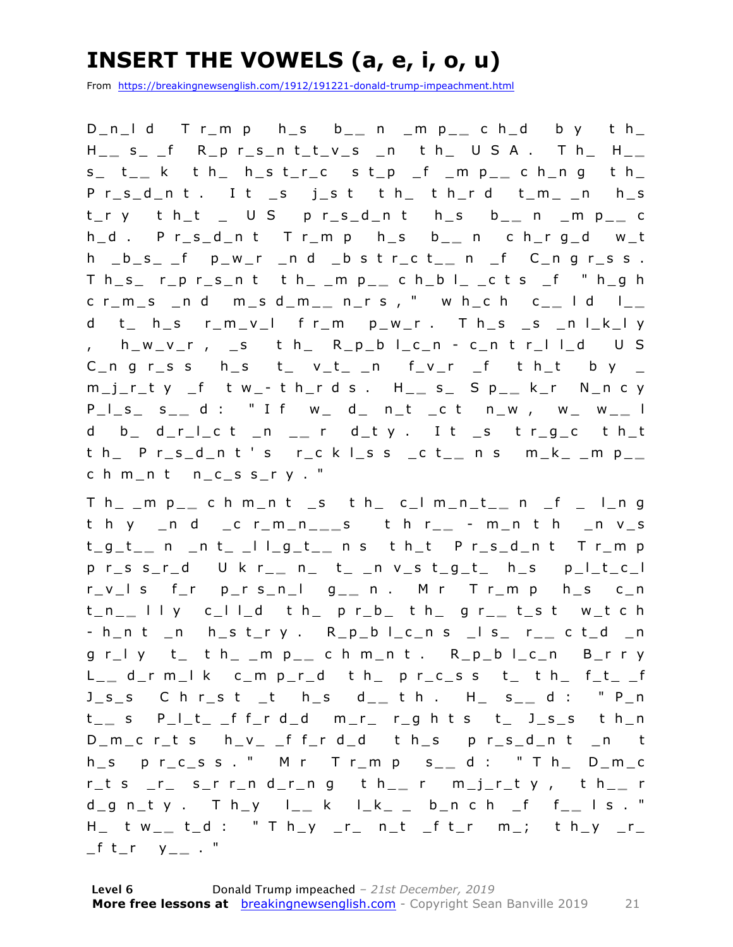### **INSERT THE VOWELS (a, e, i, o, u)**

From https://breakingnewsenglish.com/1912/191221-donald-trump-impeachment.html

D\_n\_l d T r\_m p h\_s b\_ **\_** n \_m p\_ **\_** c h\_d b y t h\_ H \_ **\_** s\_ \_f R\_p r\_s\_n t\_t\_v\_s \_n t h\_ U S A . T h\_ H\_ **\_**  s\_ t\_ **\_** k t h\_ h\_s t\_r\_c s t\_p \_f \_m p\_ **\_** c h\_n g t h\_ P r\_s\_d\_n t . I t \_s j\_s t t h\_ t h\_r d t\_m\_ \_n h\_s t\_r y t h\_t \_ U S p r\_s\_d\_n t h\_s b\_ **\_** n \_m p\_ **\_** c h\_d . P r\_s\_d\_n t T r\_m p h\_s b\_ **\_** n c h \_r g\_d w\_t h \_b\_s\_ \_f p\_w\_r \_n d \_b s t r\_c t\_ **\_** n \_f C\_n g r\_s s . T h\_s\_ r\_p r\_s\_n t t h\_ \_m p\_ **\_** c h\_b l\_ \_c t s \_f " h\_g h c r\_m\_s \_n d m\_s d\_m\_ **\_** n\_r s , " w h\_c h c\_ **\_** l d l\_ **\_**  d t\_ h\_s r\_m\_v\_l f r\_m p\_w\_r . T h\_s \_s \_n l\_k\_l y , h\_w\_v\_r , \_s t h\_ R\_p\_b l\_c\_n - c\_n t r\_l l\_d U S C\_n g r\_s s h\_s t\_ v\_t\_ \_n f\_v\_r \_f t h\_t b y \_ m\_j\_r\_t y \_f t w\_ - t h\_r d s . H\_ **\_** s\_ S p\_ **\_** k\_r N\_n c y P\_l\_s\_ s\_ **\_** d : " I f w\_ d\_ n\_t \_c t n\_w , w\_ w\_ **\_** l d b\_ d\_r\_l\_c t \_n \_ **\_** r d\_t y . I t \_s t r\_g\_c t h\_t t h\_ P r\_s\_d\_n t ' s r\_c k l\_s s \_c t\_ **\_** n s m\_k\_ \_m p\_ **\_**  c h m\_n t n\_c\_s s\_r y . "

T h\_ \_m p\_ **\_** c h m\_n t \_s t h\_ c\_l m\_n\_t\_ **\_** n \_f \_ l\_n g t h y \_n d \_c r\_m\_n\_ **\_ \_** s t h r\_ **\_** - m\_n t h \_n v\_s t\_g\_t\_ **\_** n \_n t\_ \_l l\_g\_t\_ **\_** n s t h\_t P r\_s\_d\_n t T r\_m p p r\_s s\_r\_d U k r\_ **\_** n\_ t\_ \_n v\_s t\_g\_t\_ h\_s p\_l\_t\_c\_l r\_v\_l s f\_r p\_r s\_n\_l g\_ **\_** n . M r T r\_m p h\_s c\_n t\_n\_ **\_** l l y c\_l l\_d t h\_ p r\_b\_ t h\_ g r\_ **\_** t\_s t w\_t c h - h\_n t \_n h\_s t\_r y . R\_p\_b l\_c\_n s \_l s\_ r\_ **\_** c t\_d \_n g r\_l y t\_ t h\_ \_m p\_ **\_** c h m\_n t . R\_p\_b l\_c\_n B\_r r y L \_ **\_** d\_r m\_l k c\_m p\_r\_d t h\_ p r\_c\_s s t\_ t h\_ f\_t\_ \_f J\_s\_s C h r\_s t \_t h\_s d \_ **\_** t h . H\_ s\_ **\_** d : " P\_n t \_ **\_** s P\_l\_t\_ \_f f\_r d\_d m\_r\_ r\_g h t s t\_ J\_s\_s t h\_n D\_m\_c r\_t s h\_v\_ \_f f\_r d\_d t h\_s p r\_s\_d\_n t \_n t h\_s p r\_c\_s s . " M r T r\_m p s\_ **\_** d : " T h\_ D\_m\_c r\_t s \_r\_ s\_r r\_n d\_r\_n g t h\_ **\_** r m\_j\_r\_t y , t h\_ **\_** r d\_g n\_t y . T h\_y l\_ **\_** k l\_k\_ \_ b\_n c h \_f f\_ **\_** l s . " H\_ t w\_ **\_** t\_d : " T h\_y \_r\_ n\_t \_f t\_r m\_; t h\_y \_r\_  $_{f}$  t\_r y\_\_ . "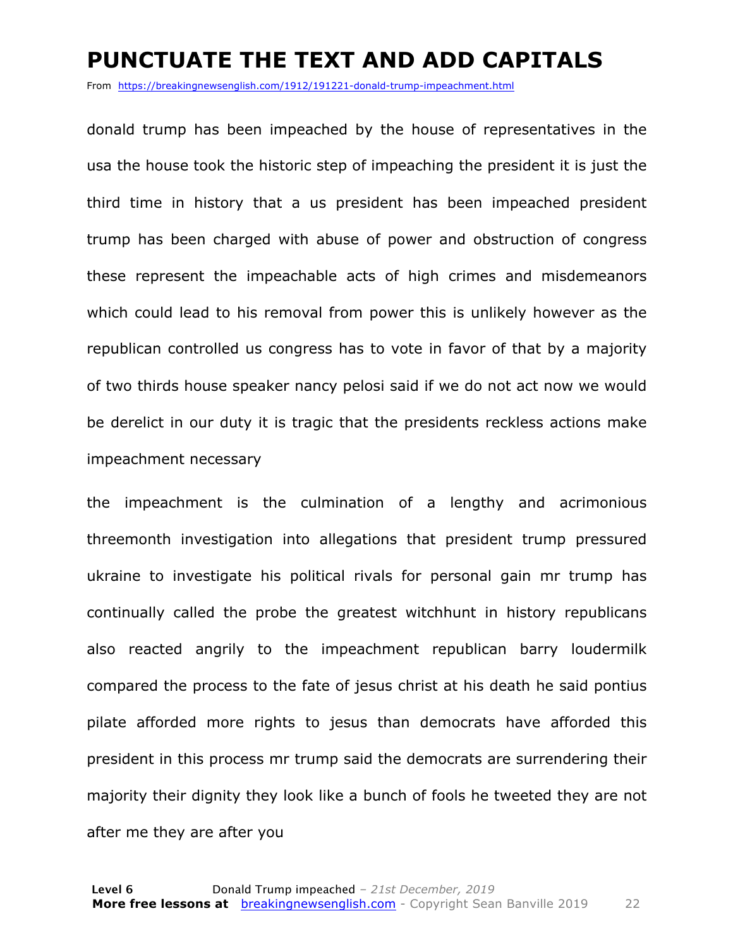#### **PUNCTUATE THE TEXT AND ADD CAPITALS**

From https://breakingnewsenglish.com/1912/191221-donald-trump-impeachment.html

donald trump has been impeached by the house of representatives in the usa the house took the historic step of impeaching the president it is just the third time in history that a us president has been impeached president trump has been charged with abuse of power and obstruction of congress these represent the impeachable acts of high crimes and misdemeanors which could lead to his removal from power this is unlikely however as the republican controlled us congress has to vote in favor of that by a majority of two thirds house speaker nancy pelosi said if we do not act now we would be derelict in our duty it is tragic that the presidents reckless actions make impeachment necessary

the impeachment is the culmination of a lengthy and acrimonious threemonth investigation into allegations that president trump pressured ukraine to investigate his political rivals for personal gain mr trump has continually called the probe the greatest witchhunt in history republicans also reacted angrily to the impeachment republican barry loudermilk compared the process to the fate of jesus christ at his death he said pontius pilate afforded more rights to jesus than democrats have afforded this president in this process mr trump said the democrats are surrendering their majority their dignity they look like a bunch of fools he tweeted they are not after me they are after you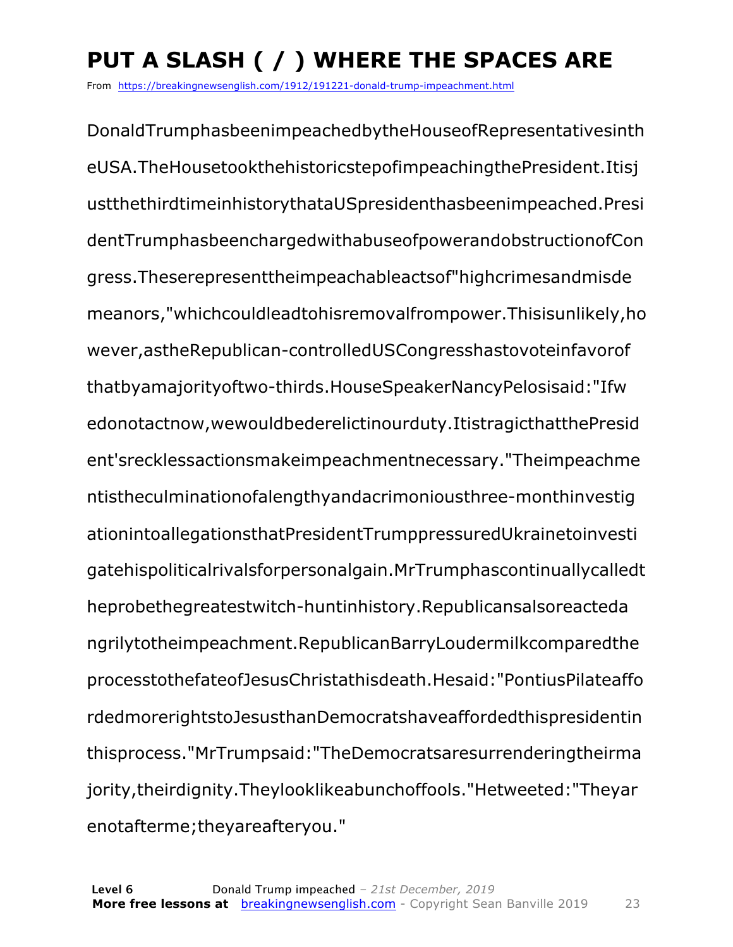## **PUT A SLASH ( / ) WHERE THE SPACES ARE**

From https://breakingnewsenglish.com/1912/191221-donald-trump-impeachment.html

DonaldTrumphasbeenimpeachedbytheHouseofRepresentativesinth eUSA.TheHousetookthehistoricstepofimpeachingthePresident.Itisj ustthethirdtimeinhistorythataUSpresidenthasbeenimpeached.Presi dentTrumphasbeenchargedwithabuseofpowerandobstructionofCon gress.Theserepresenttheimpeachableactsof"highcrimesandmisde meanors,"whichcouldleadtohisremovalfrompower.Thisisunlikely,ho wever,astheRepublican-controlledUSCongresshastovoteinfavorof thatbyamajorityoftwo-thirds.HouseSpeakerNancyPelosisaid:"Ifw edonotactnow,wewouldbederelictinourduty.ItistragicthatthePresid ent'srecklessactionsmakeimpeachmentnecessary."Theimpeachme ntistheculminationofalengthyandacrimoniousthree-monthinvestig ationintoallegationsthatPresidentTrumppressuredUkrainetoinvesti gatehispoliticalrivalsforpersonalgain.MrTrumphascontinuallycalledt heprobethegreatestwitch-huntinhistory.Republicansalsoreacteda ngrilytotheimpeachment.RepublicanBarryLoudermilkcomparedthe processtothefateofJesusChristathisdeath.Hesaid:"PontiusPilateaffo rdedmorerightstoJesusthanDemocratshaveaffordedthispresidentin thisprocess."MrTrumpsaid:"TheDemocratsaresurrenderingtheirma jority,theirdignity.Theylooklikeabunchoffools."Hetweeted:"Theyar enotafterme;theyareafteryou."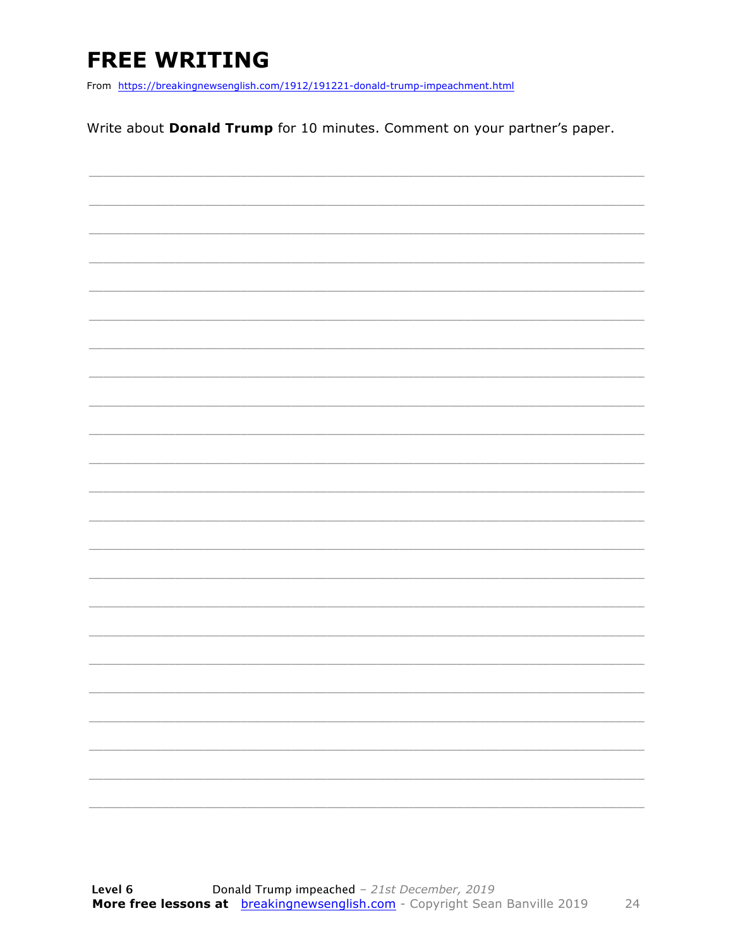### **FREE WRITING**

From https://breakingnewsenglish.com/1912/191221-donald-trump-impeachment.html

Write about Donald Trump for 10 minutes. Comment on your partner's paper.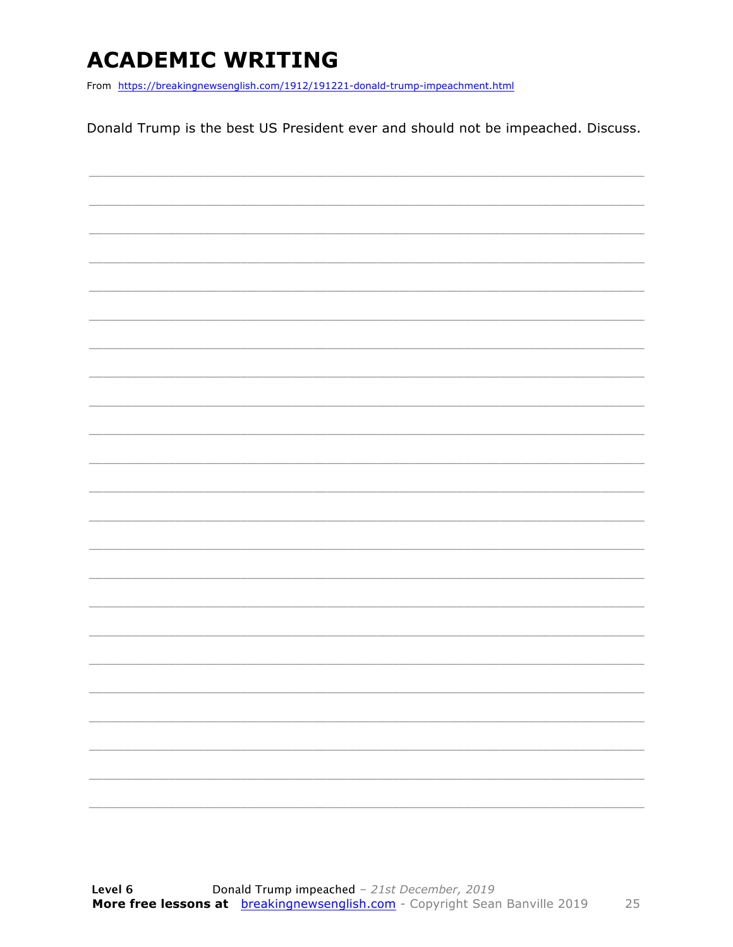### **ACADEMIC WRITING**

From https://breakingnewsenglish.com/1912/191221-donald-trump-impeachment.html

Donald Trump is the best US President ever and should not be impeached. Discuss.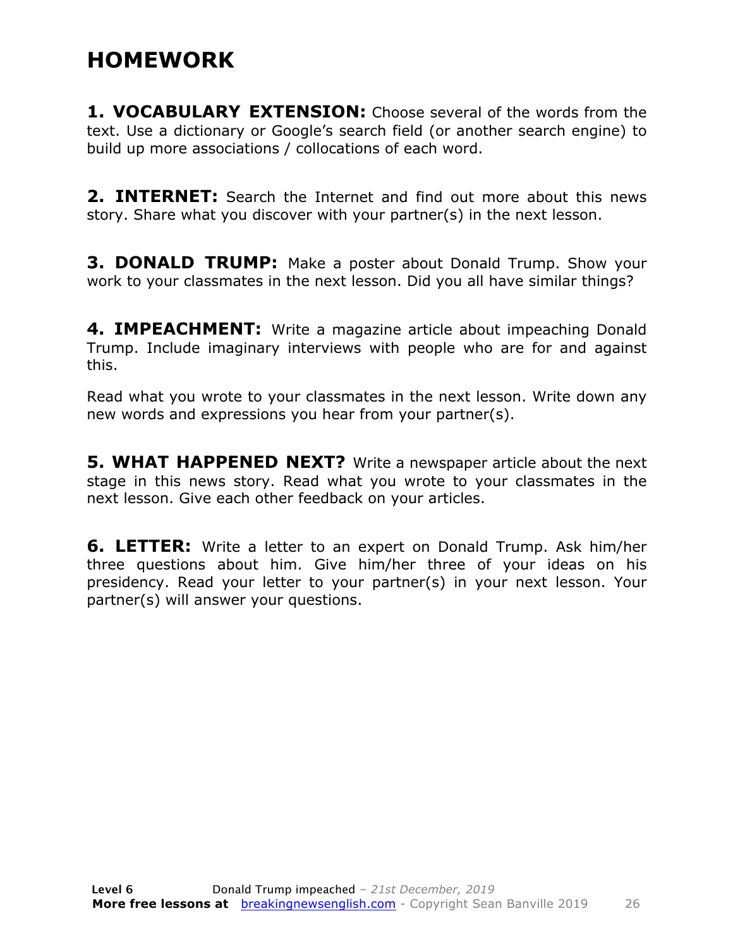#### **HOMEWORK**

**1. VOCABULARY EXTENSION:** Choose several of the words from the text. Use a dictionary or Google's search field (or another search engine) to build up more associations / collocations of each word.

**2. INTERNET:** Search the Internet and find out more about this news story. Share what you discover with your partner(s) in the next lesson.

**3. DONALD TRUMP:** Make a poster about Donald Trump. Show your work to your classmates in the next lesson. Did you all have similar things?

**4. IMPEACHMENT:** Write a magazine article about impeaching Donald Trump. Include imaginary interviews with people who are for and against this.

Read what you wrote to your classmates in the next lesson. Write down any new words and expressions you hear from your partner(s).

**5. WHAT HAPPENED NEXT?** Write a newspaper article about the next stage in this news story. Read what you wrote to your classmates in the next lesson. Give each other feedback on your articles.

**6. LETTER:** Write a letter to an expert on Donald Trump. Ask him/her three questions about him. Give him/her three of your ideas on his presidency. Read your letter to your partner(s) in your next lesson. Your partner(s) will answer your questions.